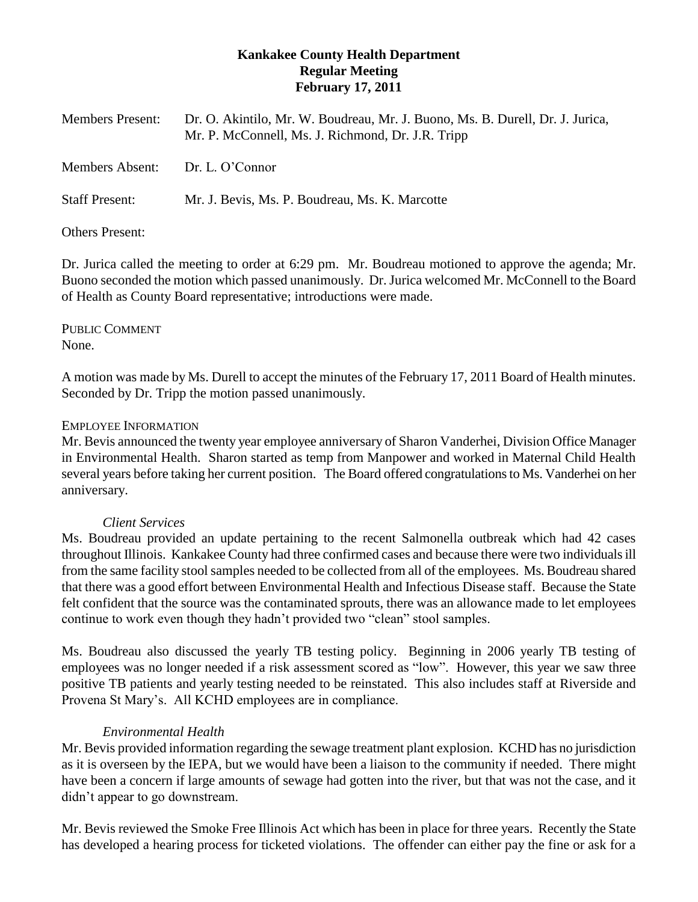# **Kankakee County Health Department Regular Meeting February 17, 2011**

| <b>Members Present:</b> | Dr. O. Akintilo, Mr. W. Boudreau, Mr. J. Buono, Ms. B. Durell, Dr. J. Jurica,<br>Mr. P. McConnell, Ms. J. Richmond, Dr. J.R. Tripp |
|-------------------------|------------------------------------------------------------------------------------------------------------------------------------|
| <b>Members Absent:</b>  | Dr. L. O'Connor                                                                                                                    |
| <b>Staff Present:</b>   | Mr. J. Bevis, Ms. P. Boudreau, Ms. K. Marcotte                                                                                     |

Others Present:

Dr. Jurica called the meeting to order at 6:29 pm. Mr. Boudreau motioned to approve the agenda; Mr. Buono seconded the motion which passed unanimously. Dr. Jurica welcomed Mr. McConnell to the Board of Health as County Board representative; introductions were made.

PUBLIC COMMENT None.

A motion was made by Ms. Durell to accept the minutes of the February 17, 2011 Board of Health minutes. Seconded by Dr. Tripp the motion passed unanimously.

# EMPLOYEE INFORMATION

Mr. Bevis announced the twenty year employee anniversary of Sharon Vanderhei, Division Office Manager in Environmental Health. Sharon started as temp from Manpower and worked in Maternal Child Health several years before taking her current position. The Board offered congratulations to Ms. Vanderhei on her anniversary.

# *Client Services*

Ms. Boudreau provided an update pertaining to the recent Salmonella outbreak which had 42 cases throughout Illinois. Kankakee County had three confirmed cases and because there were two individualsill from the same facility stool samples needed to be collected from all of the employees. Ms. Boudreau shared that there was a good effort between Environmental Health and Infectious Disease staff. Because the State felt confident that the source was the contaminated sprouts, there was an allowance made to let employees continue to work even though they hadn't provided two "clean" stool samples.

Ms. Boudreau also discussed the yearly TB testing policy. Beginning in 2006 yearly TB testing of employees was no longer needed if a risk assessment scored as "low". However, this year we saw three positive TB patients and yearly testing needed to be reinstated. This also includes staff at Riverside and Provena St Mary's. All KCHD employees are in compliance.

# *Environmental Health*

Mr. Bevis provided information regarding the sewage treatment plant explosion. KCHD has no jurisdiction as it is overseen by the IEPA, but we would have been a liaison to the community if needed. There might have been a concern if large amounts of sewage had gotten into the river, but that was not the case, and it didn't appear to go downstream.

Mr. Bevis reviewed the Smoke Free Illinois Act which has been in place for three years. Recently the State has developed a hearing process for ticketed violations. The offender can either pay the fine or ask for a